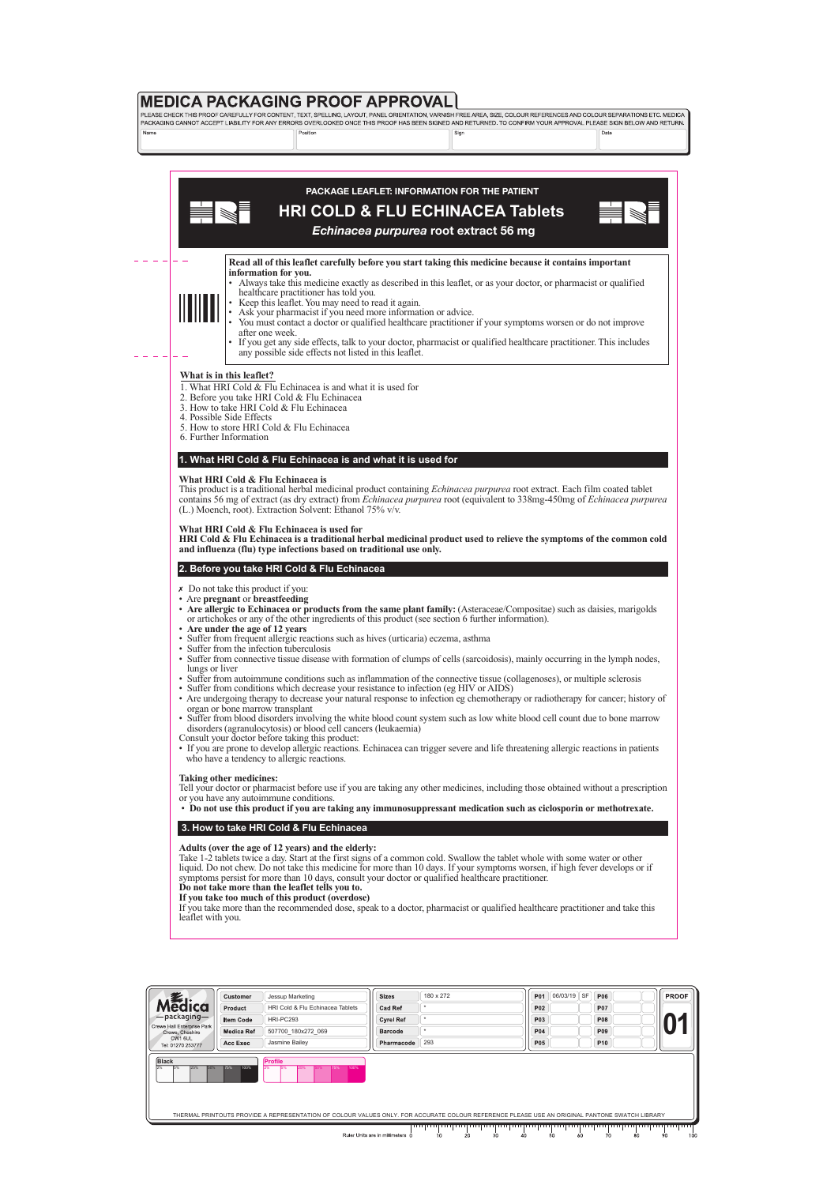

# **PACKAGE LEAFLET: INFORMATION FOR THE PATIENT**

# **HRI COLD & FLU ECHINACEA Tablets**



*Echinacea purpurea* **root extract 56 mg**

#### **Read all of this leaflet carefully before you start taking this medicine because it contains important information for you.**

- Always take this medicine exactly as described in this leaflet, or as your doctor, or pharmacist or qualified • healthcare practitioner has told you.
- Keep this leaflet. You may need to read it again.
- Ask your pharmacist if you need more information or advice.
- You must contact a doctor or qualified healthcare practitioner if your symptoms worsen or do not improve after one week.
- If you get any side effects, talk to your doctor, pharmacist or qualified healthcare practitioner. This includes any possible side effects not listed in this leaflet.

### **What is in this leaflet?**

- 1. What HRI Cold & Flu Echinacea is and what it is used for
- 2. Before you take HRI Cold & Flu Echinacea
- 3. How to take HRI Cold & Flu Echinacea
- 4. Possible Side Effects
- 5. How to store HRI Cold & Flu Echinacea
- 6. Further Information

# **1. What HRI Cold & Flu Echinacea is and what it is used for**

#### **What HRI Cold & Flu Echinacea is**

This product is a traditional herbal medicinal product containing *Echinacea purpurea* root extract. Each film coated tablet contains 56 mg of extract (as dry extract) from *Echinacea purpurea* root (equivalent to 338mg-450mg of *Echinacea purpurea*  (L.) Moench, root). Extraction Solvent: Ethanol 75% v/v.

#### **What HRI Cold & Flu Echinacea is used for**

**HRI Cold & Flu Echinacea is a traditional herbal medicinal product used to relieve the symptoms of the common cold and influenza (flu) type infections based on traditional use only.** 

# **2. Before you take HRI Cold & Flu Echinacea**

- Do not take this product if you:
- Are **pregnant** or **breastfeeding**
- **Are allergic to Echinacea or products from the same plant family:** (Asteraceae/Compositae) such as daisies, marigolds • or artichokes or any of the other ingredients of this product (see section 6 further information).
- **Are under the age of 12 years**
- Suffer from frequent allergic reactions such as hives (urticaria) eczema, asthma
- Suffer from the infection tuberculosis
- Suffer from connective tissue disease with formation of clumps of cells (sarcoidosis), mainly occurring in the lymph nodes, lungs or liver
- Suffer from autoimmune conditions such as inflammation of the connective tissue (collagenoses), or multiple sclerosis
- Suffer from conditions which decrease your resistance to infection (eg HIV or AIDS)
- Are undergoing therapy to decrease your natural response to infection eg chemotherapy or radiotherapy for cancer; history of • organ or bone marrow transplant
- Suffer from blood disorders involving the white blood count system such as low white blood cell count due to bone marrow • disorders (agranulocytosis) or blood cell cancers (leukaemia)
- Consult your doctor before taking this product:
- If you are prone to develop allergic reactions. Echinacea can trigger severe and life threatening allergic reactions in patients who have a tendency to allergic reactions.

#### **Taking other medicines:**

Tell your doctor or pharmacist before use if you are taking any other medicines, including those obtained without a prescription or you have any autoimmune conditions.

• **Do not use this product if you are taking any immunosuppressant medication such as ciclosporin or methotrexate.**

# **3. How to take HRI Cold & Flu Echinacea**

#### **Adults (over the age of 12 years) and the elderly:**

Take 1-2 tablets twice a day. Start at the first signs of a common cold. Swallow the tablet whole with some water or other liquid. Do not chew. Do not take this medicine for more than 10 days. If your symptoms worsen, if high fever develops or if symptoms persist for more than 10 days, consult your doctor or qualified healthcare practitioner.

#### **Do not take more than the leaflet tells you to. If you take too much of this product (overdose)**

If you take more than the recommended dose, speak to a doctor, pharmacist or qualified healthcare practitioner and take this leaflet with you.